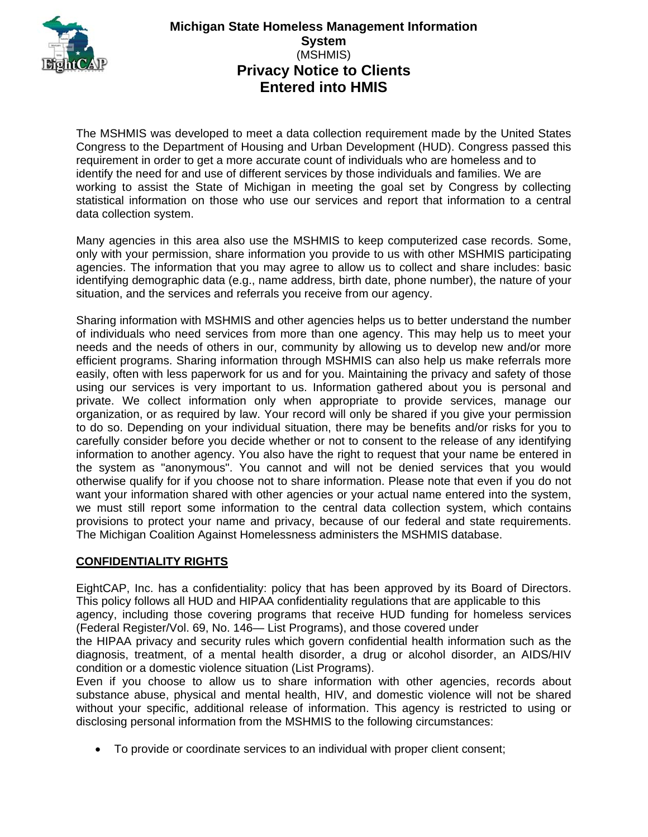

# **Michigan State Homeless Management Information System**  (MSHMIS) **Privacy Notice to Clients Entered into HMIS**

The MSHMIS was developed to meet a data collection requirement made by the United States Congress to the Department of Housing and Urban Development (HUD). Congress passed this requirement in order to get a more accurate count of individuals who are homeless and to identify the need for and use of different services by those individuals and families. We are working to assist the State of Michigan in meeting the goal set by Congress by collecting statistical information on those who use our services and report that information to a central data collection system.

Many agencies in this area also use the MSHMIS to keep computerized case records. Some, only with your permission, share information you provide to us with other MSHMIS participating agencies. The information that you may agree to allow us to collect and share includes: basic identifying demographic data (e.g., name address, birth date, phone number), the nature of your situation, and the services and referrals you receive from our agency.

Sharing information with MSHMIS and other agencies helps us to better understand the number of individuals who need services from more than one agency. This may help us to meet your needs and the needs of others in our, community by allowing us to develop new and/or more efficient programs. Sharing information through MSHMIS can also help us make referrals more easily, often with less paperwork for us and for you. Maintaining the privacy and safety of those using our services is very important to us. Information gathered about you is personal and private. We collect information only when appropriate to provide services, manage our organization, or as required by law. Your record will only be shared if you give your permission to do so. Depending on your individual situation, there may be benefits and/or risks for you to carefully consider before you decide whether or not to consent to the release of any identifying information to another agency. You also have the right to request that your name be entered in the system as "anonymous". You cannot and will not be denied services that you would otherwise qualify for if you choose not to share information. Please note that even if you do not want your information shared with other agencies or your actual name entered into the system, we must still report some information to the central data collection system, which contains provisions to protect your name and privacy, because of our federal and state requirements. The Michigan Coalition Against Homelessness administers the MSHMIS database.

# **CONFIDENTIALITY RIGHTS**

EightCAP, Inc. has a confidentiality: policy that has been approved by its Board of Directors. This policy follows all HUD and HIPAA confidentiality regulations that are applicable to this

agency, including those covering programs that receive HUD funding for homeless services (Federal Register/Vol. 69, No. 146— List Programs), and those covered under

the HIPAA privacy and security rules which govern confidential health information such as the diagnosis, treatment, of a mental health disorder, a drug or alcohol disorder, an AIDS/HIV condition or a domestic violence situation (List Programs).

Even if you choose to allow us to share information with other agencies, records about substance abuse, physical and mental health, HIV, and domestic violence will not be shared without your specific, additional release of information. This agency is restricted to using or disclosing personal information from the MSHMIS to the following circumstances:

To provide or coordinate services to an individual with proper client consent;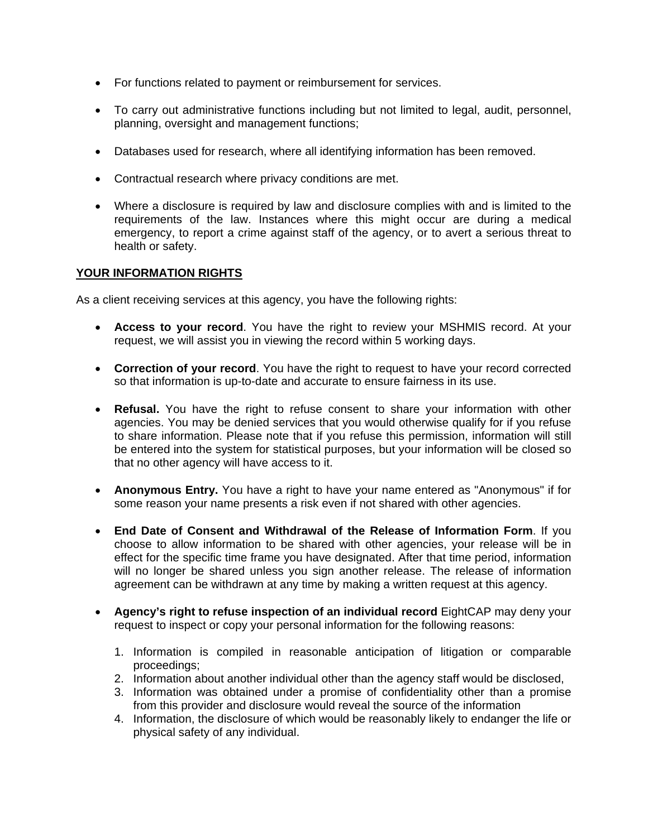- For functions related to payment or reimbursement for services.
- To carry out administrative functions including but not limited to legal, audit, personnel, planning, oversight and management functions;
- Databases used for research, where all identifying information has been removed.
- Contractual research where privacy conditions are met.
- Where a disclosure is required by law and disclosure complies with and is limited to the requirements of the law. Instances where this might occur are during a medical emergency, to report a crime against staff of the agency, or to avert a serious threat to health or safety.

## **YOUR INFORMATION RIGHTS**

As a client receiving services at this agency, you have the following rights:

- **Access to your record**. You have the right to review your MSHMIS record. At your request, we will assist you in viewing the record within 5 working days.
- **Correction of your record**. You have the right to request to have your record corrected so that information is up-to-date and accurate to ensure fairness in its use.
- **Refusal.** You have the right to refuse consent to share your information with other agencies. You may be denied services that you would otherwise qualify for if you refuse to share information. Please note that if you refuse this permission, information will still be entered into the system for statistical purposes, but your information will be closed so that no other agency will have access to it.
- **Anonymous Entry.** You have a right to have your name entered as "Anonymous" if for some reason your name presents a risk even if not shared with other agencies.
- **End Date of Consent and Withdrawal of the Release of Information Form**. If you choose to allow information to be shared with other agencies, your release will be in effect for the specific time frame you have designated. After that time period, information will no longer be shared unless you sign another release. The release of information agreement can be withdrawn at any time by making a written request at this agency.
- **Agency's right to refuse inspection of an individual record** EightCAP may deny your request to inspect or copy your personal information for the following reasons:
	- 1. Information is compiled in reasonable anticipation of litigation or comparable proceedings;
	- 2. Information about another individual other than the agency staff would be disclosed,
	- 3. Information was obtained under a promise of confidentiality other than a promise from this provider and disclosure would reveal the source of the information
	- 4. Information, the disclosure of which would be reasonably likely to endanger the life or physical safety of any individual.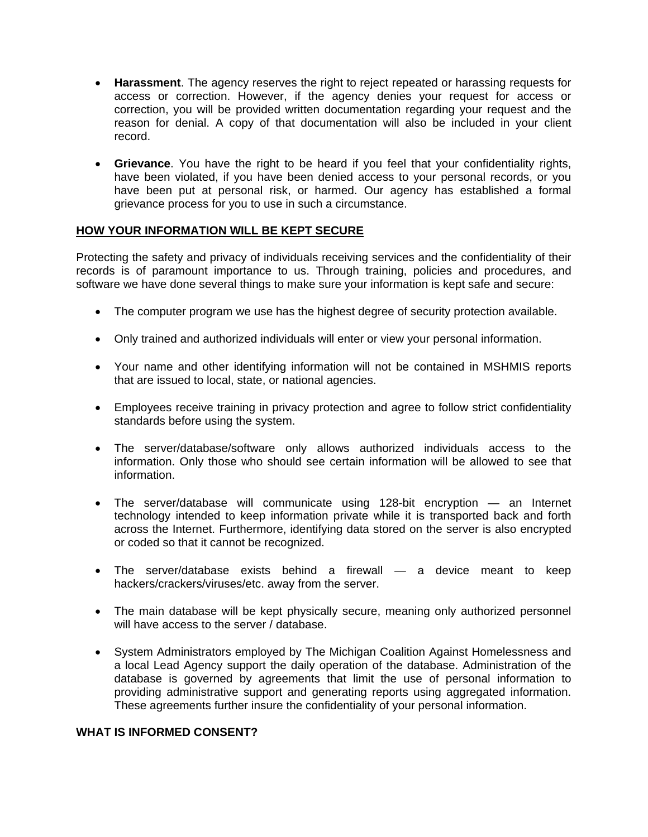- **Harassment**. The agency reserves the right to reject repeated or harassing requests for access or correction. However, if the agency denies your request for access or correction, you will be provided written documentation regarding your request and the reason for denial. A copy of that documentation will also be included in your client record.
- **Grievance**. You have the right to be heard if you feel that your confidentiality rights, have been violated, if you have been denied access to your personal records, or you have been put at personal risk, or harmed. Our agency has established a formal grievance process for you to use in such a circumstance.

#### **HOW YOUR INFORMATION WILL BE KEPT SECURE**

Protecting the safety and privacy of individuals receiving services and the confidentiality of their records is of paramount importance to us. Through training, policies and procedures, and software we have done several things to make sure your information is kept safe and secure:

- The computer program we use has the highest degree of security protection available.
- Only trained and authorized individuals will enter or view your personal information.
- Your name and other identifying information will not be contained in MSHMIS reports that are issued to local, state, or national agencies.
- Employees receive training in privacy protection and agree to follow strict confidentiality standards before using the system.
- The server/database/software only allows authorized individuals access to the information. Only those who should see certain information will be allowed to see that information.
- The server/database will communicate using 128-bit encryption an Internet technology intended to keep information private while it is transported back and forth across the Internet. Furthermore, identifying data stored on the server is also encrypted or coded so that it cannot be recognized.
- The server/database exists behind a firewall a device meant to keep hackers/crackers/viruses/etc. away from the server.
- The main database will be kept physically secure, meaning only authorized personnel will have access to the server / database.
- System Administrators employed by The Michigan Coalition Against Homelessness and a local Lead Agency support the daily operation of the database. Administration of the database is governed by agreements that limit the use of personal information to providing administrative support and generating reports using aggregated information. These agreements further insure the confidentiality of your personal information.

#### **WHAT IS INFORMED CONSENT?**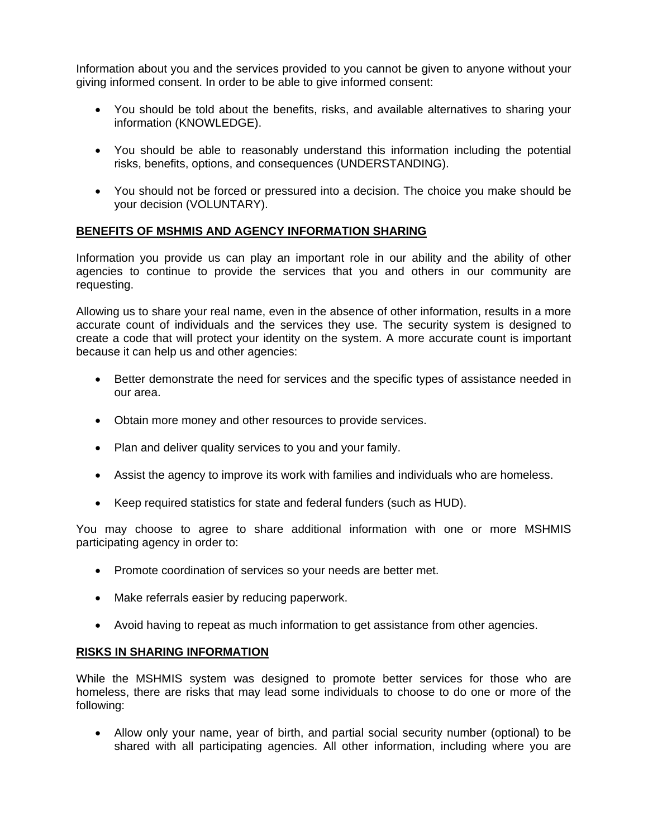Information about you and the services provided to you cannot be given to anyone without your giving informed consent. In order to be able to give informed consent:

- You should be told about the benefits, risks, and available alternatives to sharing your information (KNOWLEDGE).
- You should be able to reasonably understand this information including the potential risks, benefits, options, and consequences (UNDERSTANDING).
- You should not be forced or pressured into a decision. The choice you make should be your decision (VOLUNTARY).

## **BENEFITS OF MSHMIS AND AGENCY INFORMATION SHARING**

Information you provide us can play an important role in our ability and the ability of other agencies to continue to provide the services that you and others in our community are requesting.

Allowing us to share your real name, even in the absence of other information, results in a more accurate count of individuals and the services they use. The security system is designed to create a code that will protect your identity on the system. A more accurate count is important because it can help us and other agencies:

- Better demonstrate the need for services and the specific types of assistance needed in our area.
- Obtain more money and other resources to provide services.
- Plan and deliver quality services to you and your family.
- Assist the agency to improve its work with families and individuals who are homeless.
- Keep required statistics for state and federal funders (such as HUD).

You may choose to agree to share additional information with one or more MSHMIS participating agency in order to:

- Promote coordination of services so your needs are better met.
- Make referrals easier by reducing paperwork.
- Avoid having to repeat as much information to get assistance from other agencies.

#### **RISKS IN SHARING INFORMATION**

While the MSHMIS system was designed to promote better services for those who are homeless, there are risks that may lead some individuals to choose to do one or more of the following:

 Allow only your name, year of birth, and partial social security number (optional) to be shared with all participating agencies. All other information, including where you are